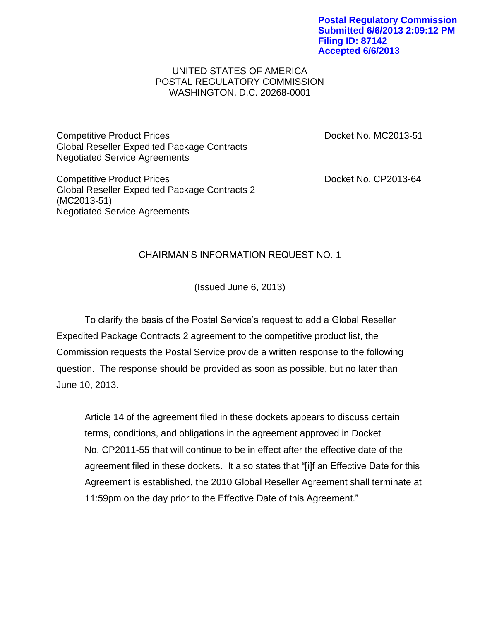**Postal Regulatory Commission Submitted 6/6/2013 2:09:12 PM Filing ID: 87142 Accepted 6/6/2013**

## UNITED STATES OF AMERICA POSTAL REGULATORY COMMISSION WASHINGTON, D.C. 20268-0001

Competitive Product Prices **Docket No. MC2013-51** Global Reseller Expedited Package Contracts Negotiated Service Agreements

Competitive Product Prices **Docket No. CP2013-64** Global Reseller Expedited Package Contracts 2 (MC2013-51) Negotiated Service Agreements

## CHAIRMAN'S INFORMATION REQUEST NO. 1

(Issued June 6, 2013)

To clarify the basis of the Postal Service's request to add a Global Reseller Expedited Package Contracts 2 agreement to the competitive product list, the Commission requests the Postal Service provide a written response to the following question. The response should be provided as soon as possible, but no later than June 10, 2013.

Article 14 of the agreement filed in these dockets appears to discuss certain terms, conditions, and obligations in the agreement approved in Docket No. CP2011-55 that will continue to be in effect after the effective date of the agreement filed in these dockets. It also states that "[i]f an Effective Date for this Agreement is established, the 2010 Global Reseller Agreement shall terminate at 11:59pm on the day prior to the Effective Date of this Agreement."